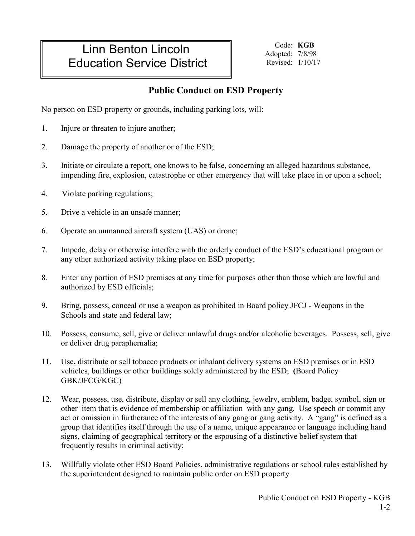## Linn Benton Lincoln Education Service District

Code: **KGB** Adopted: 7/8/98 Revised: 1/10/17

## **Public Conduct on ESD Property**

No person on ESD property or grounds, including parking lots, will:

- 1. Injure or threaten to injure another;
- 2. Damage the property of another or of the ESD;
- 3. Initiate or circulate a report, one knows to be false, concerning an alleged hazardous substance, impending fire, explosion, catastrophe or other emergency that will take place in or upon a school;
- 4. Violate parking regulations;
- 5. Drive a vehicle in an unsafe manner;
- 6. Operate an unmanned aircraft system (UAS) or drone;
- 7. Impede, delay or otherwise interfere with the orderly conduct of the ESD's educational program or any other authorized activity taking place on ESD property;
- 8. Enter any portion of ESD premises at any time for purposes other than those which are lawful and authorized by ESD officials;
- 9. Bring, possess, conceal or use a weapon as prohibited in Board policy JFCJ Weapons in the Schools and state and federal law;
- 10. Possess, consume, sell, give or deliver unlawful drugs and**/**or alcoholic beverages. Possess, sell, give or deliver drug paraphernalia;
- 11. Use**,** distribute or sell tobacco products or inhalant delivery systems on ESD premises or in ESD vehicles, buildings or other buildings solely administered by the ESD; **(**Board Policy GBK/JFCG/KGC)
- 12. Wear, possess, use, distribute, display or sell any clothing, jewelry, emblem, badge, symbol, sign or other item that is evidence of membership or affiliation with any gang. Use speech or commit any act or omission in furtherance of the interests of any gang or gang activity. A "gang" is defined as a group that identifies itself through the use of a name, unique appearance or language including hand signs, claiming of geographical territory or the espousing of a distinctive belief system that frequently results in criminal activity;
- 13. Willfully violate other ESD Board Policies, administrative regulations or school rules established by the superintendent designed to maintain public order on ESD property.